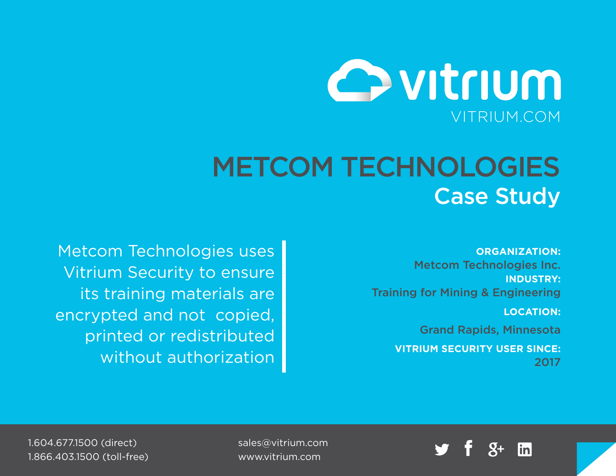

# METCOM TECHNOLOGIES Case Study

**ORGANIZATION:** Metcom Technologies Inc. **INDUSTRY:** Training for Mining & Engineering

**LOCATION:**

Grand Rapids, Minnesota

**VITRIUM SECURITY USER SINCE:** 2017

Metcom Technologies uses Vitrium Security to ensure its training materials are encrypted and not copied, printed or redistributed without authorization



sales@vitrium.com www.vitrium.com

1.604.677.1500 (direct) 1.866.403.1500 (toll-free)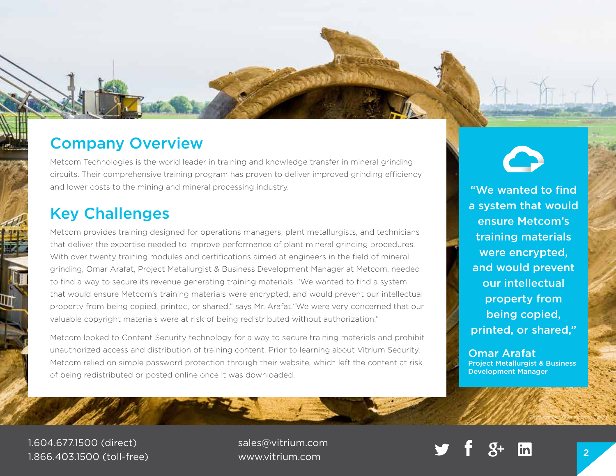## Company Overview

Metcom Technologies is the world leader in training and knowledge transfer in mineral grinding circuits. Their comprehensive training program has proven to deliver improved grinding efficiency and lower costs to the mining and mineral processing industry.

### Key Challenges

Metcom provides training designed for operations managers, plant metallurgists, and technicians that deliver the expertise needed to improve performance of plant mineral grinding procedures. With over twenty training modules and certifications aimed at engineers in the field of mineral grinding, Omar Arafat, Project Metallurgist & Business Development Manager at Metcom, needed to find a way to secure its revenue generating training materials. "We wanted to find a system that would ensure Metcom's training materials were encrypted, and would prevent our intellectual property from being copied, printed, or shared," says Mr. Arafat."We were very concerned that our valuable copyright materials were at risk of being redistributed without authorization."

Metcom looked to Content Security technology for a way to secure training materials and prohibit unauthorized access and distribution of training content. Prior to learning about Vitrium Security, Metcom relied on simple password protection through their website, which left the content at risk of being redistributed or posted online once it was downloaded.

"We wanted to find a system that would ensure Metcom's training materials were encrypted, and would prevent our intellectual property from being copied, printed, or shared,"

Omar Arafat Project Metallurgist & Business Development Manager

1.604.677.1500 (direct) 1.866.403.1500 (toll-free)

sales@vitrium.com www.vitrium.com <sup>2</sup>



Photo by Ben Cheung from Pexels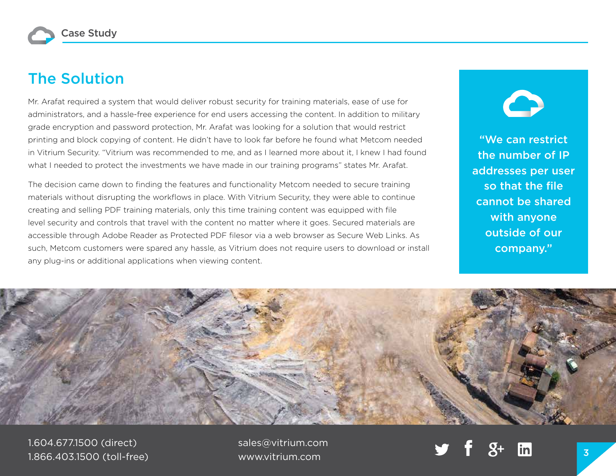# The Solution

Mr. Arafat required a system that would deliver robust security for training materials, ease of use for administrators, and a hassle-free experience for end users accessing the content. In addition to military grade encryption and password protection, Mr. Arafat was looking for a solution that would restrict printing and block copying of content. He didn't have to look far before he found what Metcom needed in Vitrium Security. "Vitrium was recommended to me, and as I learned more about it, I knew I had found what I needed to protect the investments we have made in our training programs" states Mr. Arafat.

The decision came down to finding the features and functionality Metcom needed to secure training materials without disrupting the workflows in place. With Vitrium Security, they were able to continue creating and selling PDF training materials, only this time training content was equipped with file level security and controls that travel with the content no matter where it goes. Secured materials are accessible through Adobe Reader as Protected PDF filesor via a web browser as Secure Web Links. As such, Metcom customers were spared any hassle, as Vitrium does not require users to download or install any plug-ins or additional applications when viewing content.

"We can restrict the number of IP addresses per user so that the file cannot be shared with anyone outside of our company."



1.604.677.1500 (direct) 1.866.403.1500 (toll-free) sales@vitrium.com